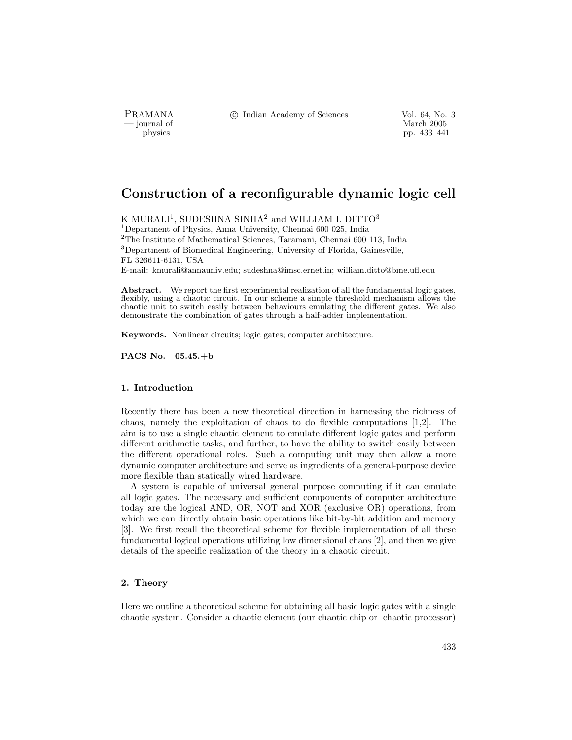PRAMANA °c Indian Academy of Sciences Vol. 64, No. 3

physics and the method of the method of the method of the March 2005 pp. 433–44. physics pp. 433–441

# Construction of a reconfigurable dynamic logic cell

K MURALI<sup>1</sup>, SUDESHNA SINHA<sup>2</sup> and WILLIAM L DITTO<sup>3</sup> <sup>1</sup>Department of Physics, Anna University, Chennai 600 025, India <sup>2</sup>The Institute of Mathematical Sciences, Taramani, Chennai 600 113, India <sup>3</sup>Department of Biomedical Engineering, University of Florida, Gainesville, FL 326611-6131, USA

E-mail: kmurali@annauniv.edu; sudeshna@imsc.ernet.in; william.ditto@bme.ufl.edu

Abstract. We report the first experimental realization of all the fundamental logic gates, flexibly, using a chaotic circuit. In our scheme a simple threshold mechanism allows the chaotic unit to switch easily between behaviours emulating the different gates. We also demonstrate the combination of gates through a half-adder implementation.

Keywords. Nonlinear circuits; logic gates; computer architecture.

PACS No. 05.45.+b

#### 1. Introduction

Recently there has been a new theoretical direction in harnessing the richness of chaos, namely the exploitation of chaos to do flexible computations [1,2]. The aim is to use a single chaotic element to emulate different logic gates and perform different arithmetic tasks, and further, to have the ability to switch easily between the different operational roles. Such a computing unit may then allow a more dynamic computer architecture and serve as ingredients of a general-purpose device more flexible than statically wired hardware.

A system is capable of universal general purpose computing if it can emulate all logic gates. The necessary and sufficient components of computer architecture today are the logical AND, OR, NOT and XOR (exclusive OR) operations, from which we can directly obtain basic operations like bit-by-bit addition and memory [3]. We first recall the theoretical scheme for flexible implementation of all these fundamental logical operations utilizing low dimensional chaos [2], and then we give details of the specific realization of the theory in a chaotic circuit.

## 2. Theory

Here we outline a theoretical scheme for obtaining all basic logic gates with a single chaotic system. Consider a chaotic element (our chaotic chip or chaotic processor)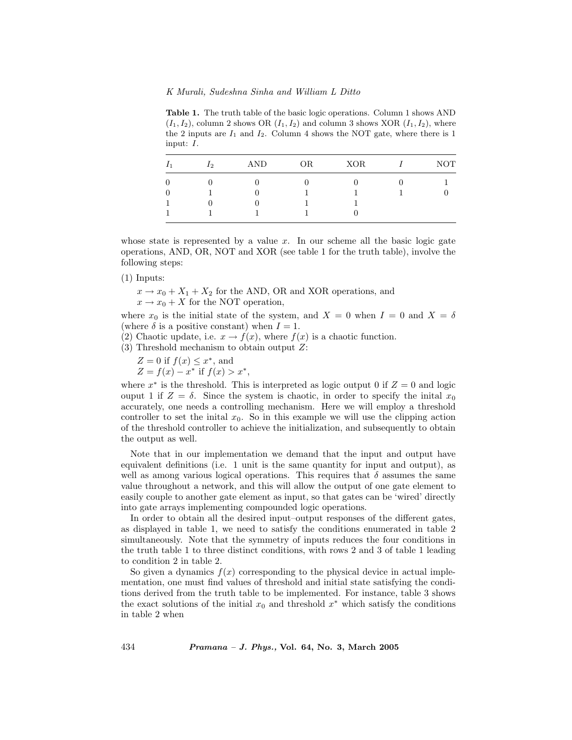K Murali, Sudeshna Sinha and William L Ditto

Table 1. The truth table of the basic logic operations. Column 1 shows AND  $(I_1, I_2)$ , column 2 shows OR  $(I_1, I_2)$  and column 3 shows XOR  $(I_1, I_2)$ , where the 2 inputs are  $I_1$  and  $I_2$ . Column 4 shows the NOT gate, where there is 1 input: I.

| I <sub>1</sub> | $\mathcal{L}_{2}$ | <b>AND</b> | OR. | <b>XOR</b> | <b>NOT</b> |
|----------------|-------------------|------------|-----|------------|------------|
| $\theta$       |                   |            |     |            |            |
| $\theta$       |                   |            |     |            |            |
|                |                   |            |     |            |            |
|                |                   |            |     |            |            |
|                |                   |            |     |            |            |

whose state is represented by a value  $x$ . In our scheme all the basic logic gate operations, AND, OR, NOT and XOR (see table 1 for the truth table), involve the following steps:

(1) Inputs:

 $x \to x_0 + X_1 + X_2$  for the AND, OR and XOR operations, and  $x \to x_0 + X$  for the NOT operation,

where  $x_0$  is the initial state of the system, and  $X = 0$  when  $I = 0$  and  $X = \delta$ (where  $\delta$  is a positive constant) when  $I = 1$ .

(2) Chaotic update, i.e.  $x \to f(x)$ , where  $f(x)$  is a chaotic function.

(3) Threshold mechanism to obtain output Z:

 $Z = 0$  if  $f(x) \leq x^*$ , and

 $Z = f(x) - x^*$  if  $f(x) > x^*$ ,

where  $x^*$  is the threshold. This is interpreted as logic output 0 if  $Z = 0$  and logic ouput 1 if  $Z = \delta$ . Since the system is chaotic, in order to specify the initial  $x_0$ accurately, one needs a controlling mechanism. Here we will employ a threshold controller to set the initial  $x_0$ . So in this example we will use the clipping action of the threshold controller to achieve the initialization, and subsequently to obtain the output as well.

Note that in our implementation we demand that the input and output have equivalent definitions (i.e. 1 unit is the same quantity for input and output), as well as among various logical operations. This requires that  $\delta$  assumes the same value throughout a network, and this will allow the output of one gate element to easily couple to another gate element as input, so that gates can be 'wired' directly into gate arrays implementing compounded logic operations.

In order to obtain all the desired input–output responses of the different gates, as displayed in table 1, we need to satisfy the conditions enumerated in table 2 simultaneously. Note that the symmetry of inputs reduces the four conditions in the truth table 1 to three distinct conditions, with rows 2 and 3 of table 1 leading to condition 2 in table 2.

So given a dynamics  $f(x)$  corresponding to the physical device in actual implementation, one must find values of threshold and initial state satisfying the conditions derived from the truth table to be implemented. For instance, table 3 shows the exact solutions of the initial  $x_0$  and threshold  $x^*$  which satisfy the conditions in table 2 when

434 Pramana – J. Phys., Vol. 64, No. 3, March 2005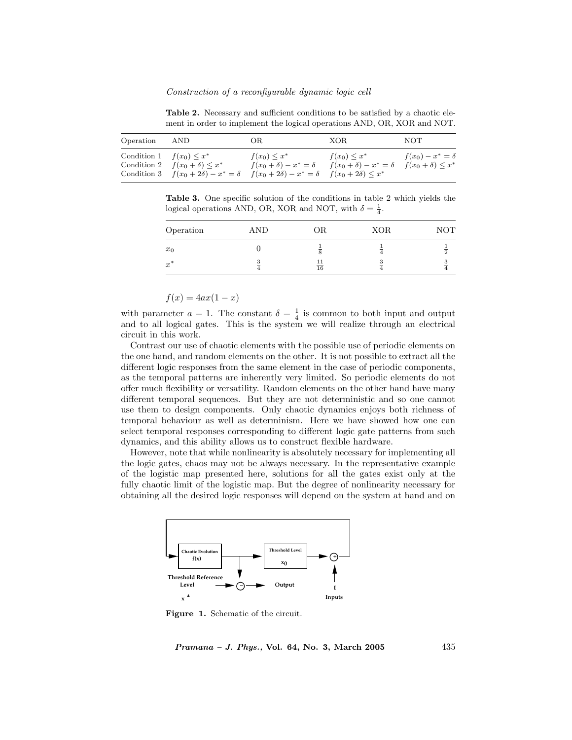Construction of a reconfigurable dynamic logic cell

Table 2. Necessary and sufficient conditions to be satisfied by a chaotic element in order to implement the logical operations AND, OR, XOR and NOT.

| Operation                     | AND                                                                                                        | OR.                              | XOR                              | NOT                        |
|-------------------------------|------------------------------------------------------------------------------------------------------------|----------------------------------|----------------------------------|----------------------------|
| Condition 1 $f(x_0) \leq x^*$ | Condition 2 $f(x_0 + \delta) \leq x^*$                                                                     | $f(x_0) \leq x^*$                | $f(x_0) \leq x^*$                | $f(x_0) - x^* = \delta$    |
|                               | Condition 3 $f(x_0 + 2\delta) - x^* = \delta$ $f(x_0 + 2\delta) - x^* = \delta$ $f(x_0 + 2\delta) \le x^*$ | $f(x_0 + \delta) - x^* = \delta$ | $f(x_0 + \delta) - x^* = \delta$ | $f(x_0 + \delta) \leq x^*$ |

Table 3. One specific solution of the conditions in table 2 which yields the logical operations AND, OR, XOR and NOT, with  $\delta = \frac{1}{4}$ .

| Operation | AND | ОR       | <b>XOR</b> | NOT |
|-----------|-----|----------|------------|-----|
| $x_0$     |     |          |            |     |
| $x^*$     |     | 11<br>16 |            |     |

 $f(x) = 4ax(1 - x)$ 

with parameter  $a = 1$ . The constant  $\delta = \frac{1}{4}$  is common to both input and output and to all logical gates. This is the system we will realize through an electrical circuit in this work.

Contrast our use of chaotic elements with the possible use of periodic elements on the one hand, and random elements on the other. It is not possible to extract all the different logic responses from the same element in the case of periodic components, as the temporal patterns are inherently very limited. So periodic elements do not offer much flexibility or versatility. Random elements on the other hand have many different temporal sequences. But they are not deterministic and so one cannot use them to design components. Only chaotic dynamics enjoys both richness of temporal behaviour as well as determinism. Here we have showed how one can select temporal responses corresponding to different logic gate patterns from such dynamics, and this ability allows us to construct flexible hardware.

However, note that while nonlinearity is absolutely necessary for implementing all the logic gates, chaos may not be always necessary. In the representative example of the logistic map presented here, solutions for all the gates exist only at the fully chaotic limit of the logistic map. But the degree of nonlinearity necessary for obtaining all the desired logic responses will depend on the system at hand and on



Figure 1. Schematic of the circuit.

Pramana – J. Phys., Vol. 64, No. 3, March 2005 435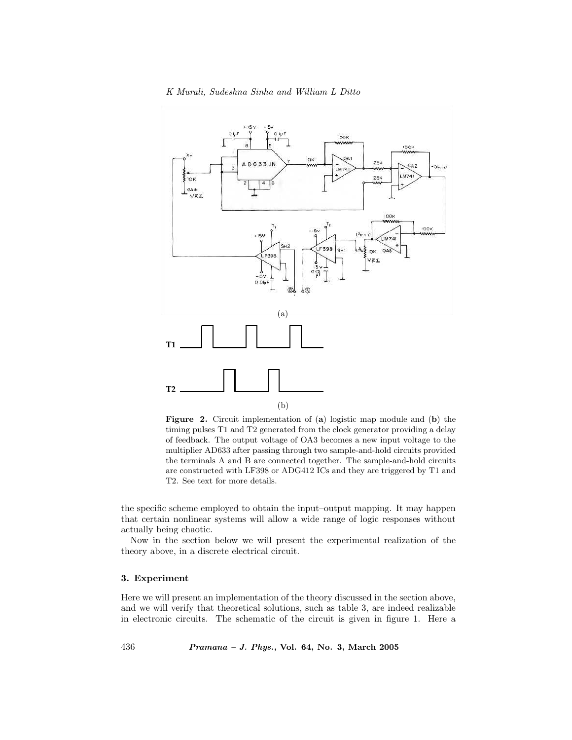



Figure 2. Circuit implementation of (a) logistic map module and (b) the timing pulses T1 and T2 generated from the clock generator providing a delay of feedback. The output voltage of OA3 becomes a new input voltage to the multiplier AD633 after passing through two sample-and-hold circuits provided the terminals A and B are connected together. The sample-and-hold circuits are constructed with LF398 or ADG412 ICs and they are triggered by T1 and T2. See text for more details.

the specific scheme employed to obtain the input–output mapping. It may happen that certain nonlinear systems will allow a wide range of logic responses without actually being chaotic.

Now in the section below we will present the experimental realization of the theory above, in a discrete electrical circuit.

#### 3. Experiment

Here we will present an implementation of the theory discussed in the section above, and we will verify that theoretical solutions, such as table 3, are indeed realizable in electronic circuits. The schematic of the circuit is given in figure 1. Here a

436 Pramana – J. Phys., Vol. 64, No. 3, March 2005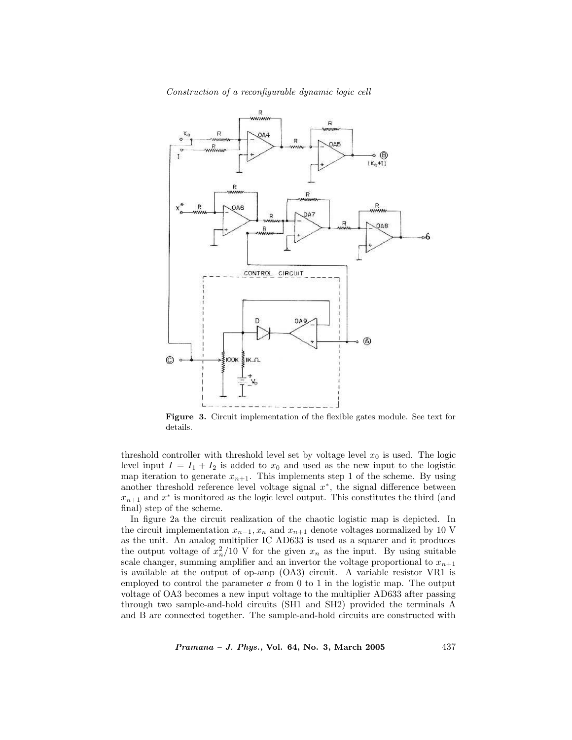

Construction of a reconfigurable dynamic logic cell

Figure 3. Circuit implementation of the flexible gates module. See text for details.

threshold controller with threshold level set by voltage level  $x_0$  is used. The logic level input  $I = I_1 + I_2$  is added to  $x_0$  and used as the new input to the logistic map iteration to generate  $x_{n+1}$ . This implements step 1 of the scheme. By using another threshold reference level voltage signal  $x^*$ , the signal difference between  $x_{n+1}$  and  $x^*$  is monitored as the logic level output. This constitutes the third (and final) step of the scheme.

In figure 2a the circuit realization of the chaotic logistic map is depicted. In the circuit implementation  $x_{n-1}, x_n$  and  $x_{n+1}$  denote voltages normalized by 10 V as the unit. An analog multiplier IC AD633 is used as a squarer and it produces the output voltage of  $x_n^2/10$  V for the given  $x_n$  as the input. By using suitable scale changer, summing amplifier and an invertor the voltage proportional to  $x_{n+1}$ is available at the output of op-amp (OA3) circuit. A variable resistor VR1 is employed to control the parameter  $\alpha$  from 0 to 1 in the logistic map. The output voltage of OA3 becomes a new input voltage to the multiplier AD633 after passing through two sample-and-hold circuits (SH1 and SH2) provided the terminals A and B are connected together. The sample-and-hold circuits are constructed with

Pramana – J. Phys., Vol. 64, No. 3, March 2005 437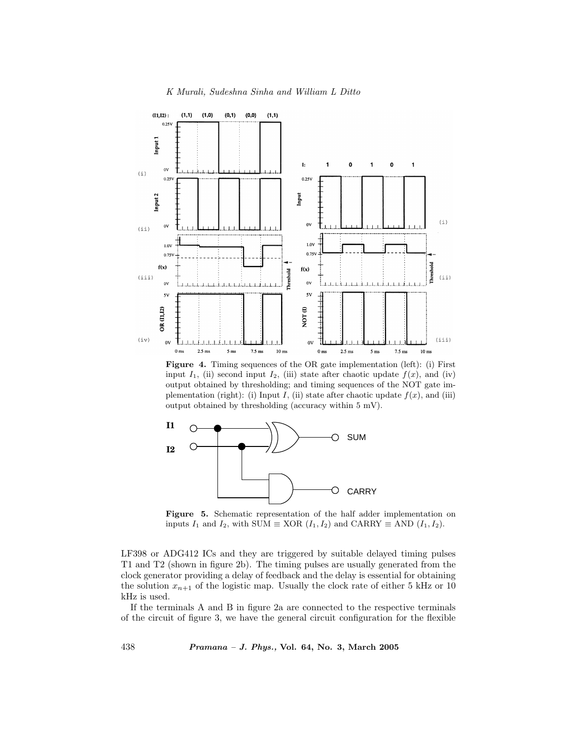

K Murali, Sudeshna Sinha and William L Ditto

Figure 4. Timing sequences of the OR gate implementation (left): (i) First input  $I_1$ , (ii) second input  $I_2$ , (iii) state after chaotic update  $f(x)$ , and (iv) output obtained by thresholding; and timing sequences of the NOT gate implementation (right): (i) Input I, (ii) state after chaotic update  $f(x)$ , and (iii) output obtained by thresholding (accuracy within 5 mV).



Figure 5. Schematic representation of the half adder implementation on inputs  $I_1$  and  $I_2$ , with SUM  $\equiv$  XOR  $(I_1, I_2)$  and CARRY  $\equiv$  AND  $(I_1, I_2)$ .

LF398 or ADG412 ICs and they are triggered by suitable delayed timing pulses T1 and T2 (shown in figure 2b). The timing pulses are usually generated from the clock generator providing a delay of feedback and the delay is essential for obtaining the solution  $x_{n+1}$  of the logistic map. Usually the clock rate of either 5 kHz or 10 kHz is used.

If the terminals A and B in figure 2a are connected to the respective terminals of the circuit of figure 3, we have the general circuit configuration for the flexible

438 Pramana – J. Phys., Vol. 64, No. 3, March 2005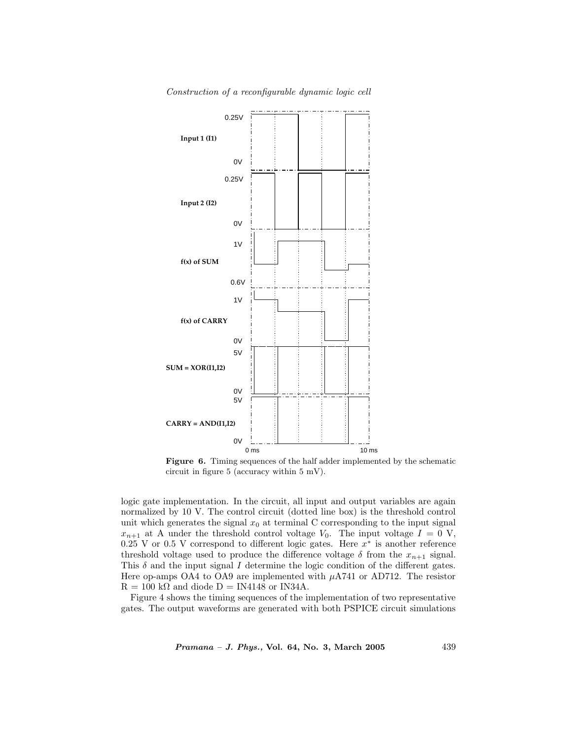

Construction of a reconfigurable dynamic logic cell

Figure 6. Timing sequences of the half adder implemented by the schematic circuit in figure 5 (accuracy within 5 mV).

logic gate implementation. In the circuit, all input and output variables are again normalized by 10 V. The control circuit (dotted line box) is the threshold control unit which generates the signal  $x_0$  at terminal C corresponding to the input signal  $x_{n+1}$  at A under the threshold control voltage  $V_0$ . The input voltage  $I = 0$  V, 0.25 V or 0.5 V correspond to different logic gates. Here  $x^*$  is another reference threshold voltage used to produce the difference voltage  $\delta$  from the  $x_{n+1}$  signal. This  $\delta$  and the input signal I determine the logic condition of the different gates. Here op-amps OA4 to OA9 are implemented with  $\mu$ A741 or AD712. The resistor  $R = 100 \text{ k}\Omega$  and diode  $D = IN4148$  or IN34A.

Figure 4 shows the timing sequences of the implementation of two representative gates. The output waveforms are generated with both PSPICE circuit simulations

Pramana – J. Phys., Vol. 64, No. 3, March 2005 439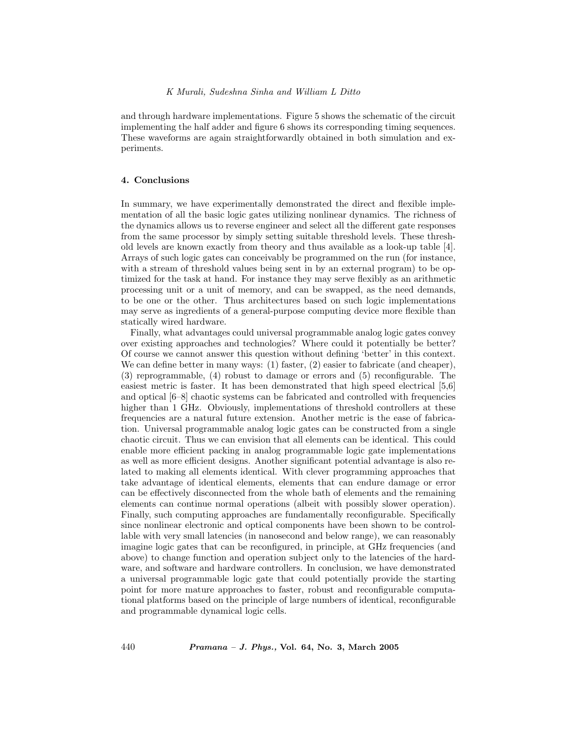#### K Murali, Sudeshna Sinha and William L Ditto

and through hardware implementations. Figure 5 shows the schematic of the circuit implementing the half adder and figure 6 shows its corresponding timing sequences. These waveforms are again straightforwardly obtained in both simulation and experiments.

### 4. Conclusions

In summary, we have experimentally demonstrated the direct and flexible implementation of all the basic logic gates utilizing nonlinear dynamics. The richness of the dynamics allows us to reverse engineer and select all the different gate responses from the same processor by simply setting suitable threshold levels. These threshold levels are known exactly from theory and thus available as a look-up table [4]. Arrays of such logic gates can conceivably be programmed on the run (for instance, with a stream of threshold values being sent in by an external program) to be optimized for the task at hand. For instance they may serve flexibly as an arithmetic processing unit or a unit of memory, and can be swapped, as the need demands, to be one or the other. Thus architectures based on such logic implementations may serve as ingredients of a general-purpose computing device more flexible than statically wired hardware.

Finally, what advantages could universal programmable analog logic gates convey over existing approaches and technologies? Where could it potentially be better? Of course we cannot answer this question without defining 'better' in this context. We can define better in many ways: (1) faster, (2) easier to fabricate (and cheaper), (3) reprogrammable, (4) robust to damage or errors and (5) reconfigurable. The easiest metric is faster. It has been demonstrated that high speed electrical [5,6] and optical [6–8] chaotic systems can be fabricated and controlled with frequencies higher than 1 GHz. Obviously, implementations of threshold controllers at these frequencies are a natural future extension. Another metric is the ease of fabrication. Universal programmable analog logic gates can be constructed from a single chaotic circuit. Thus we can envision that all elements can be identical. This could enable more efficient packing in analog programmable logic gate implementations as well as more efficient designs. Another significant potential advantage is also related to making all elements identical. With clever programming approaches that take advantage of identical elements, elements that can endure damage or error can be effectively disconnected from the whole bath of elements and the remaining elements can continue normal operations (albeit with possibly slower operation). Finally, such computing approaches are fundamentally reconfigurable. Specifically since nonlinear electronic and optical components have been shown to be controllable with very small latencies (in nanosecond and below range), we can reasonably imagine logic gates that can be reconfigured, in principle, at GHz frequencies (and above) to change function and operation subject only to the latencies of the hardware, and software and hardware controllers. In conclusion, we have demonstrated a universal programmable logic gate that could potentially provide the starting point for more mature approaches to faster, robust and reconfigurable computational platforms based on the principle of large numbers of identical, reconfigurable and programmable dynamical logic cells.